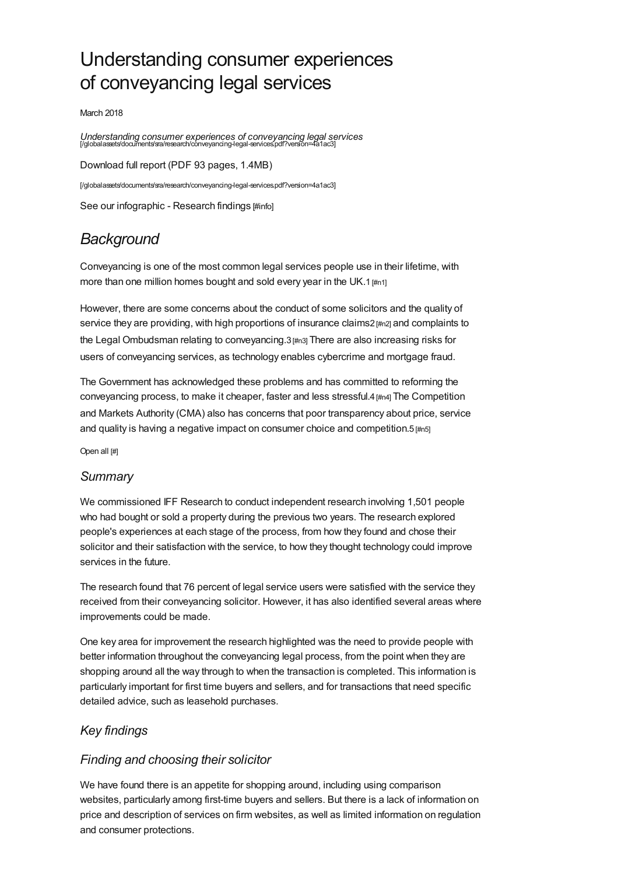# Understanding consumer experiences of conveyancing legal services

March 2018

*Understanding consumer experiences of conveyancing legal services* [/globalassets/documents/sra/research/conveyancing-legal-services.pdf?version=4a1ac3]

Download full report (PDF 93 pages, 1.4MB) [\[/globalassets/documents/sra/research/conveyancing-legal-services.pdf?version=4a1ac3\]](https://www.sra.org.uk/globalassets/documents/sra/research/conveyancing-legal-services.pdf?version=4a1ac3) See our [infographic](#page-3-0) - Research findings [#info]

# *Background*

Conveyancing is one of the most common legal services people use in their lifetime, with more than one million homes bought and sold every year in the UK.1 [\[#n1\]](#page-3-1)

However, there are some concerns about the conduct of some solicitors and the quality of service they are providing, with high proportions of insurance claims2 [\[#n2\]](#page-3-2) and complaints to the Legal Ombudsman relating to conveyancing.3 [\[#n3\]](#page-3-3) There are also increasing risks for users of conveyancing services, as technology enables cybercrime and mortgage fraud.

The Government has acknowledged these problems and has committed to reforming the conveyancing process, to make it cheaper, faster and less stressful.4 [\[#n4\]](#page-3-4) The Competition and Markets Authority (CMA) also has concerns that poor transparency about price, service and quality is having a negative impact on consumer choice and competition. $5 \text{ [m5]}$ 

Open all [#]

#### *[Summary](#page-0-0)*

<span id="page-0-0"></span>We commissioned IFF Research to conduct independent research involving 1,501 people who had bought or sold a property during the previous two years. The research explored people's experiences at each stage of the process, from how they found and chose their solicitor and their satisfaction with the service, to how they thought technology could improve services in the future.

The research found that 76 percent of legal service users were satisfied with the service they received from their conveyancing solicitor. However, it has also identified several areas where improvements could be made.

One key area for improvement the research highlighted was the need to provide people with better information throughout the conveyancing legal process, from the point when they are shopping around all the way through to when the transaction is completed. This information is particularly important for first time buyers and sellers, and for transactions that need specific detailed advice, such as leasehold purchases.

### *Key [findings](#page-1-0)*

### *Finding and choosing their solicitor*

We have found there is an appetite for shopping around, including using comparison websites, particularly among first-time buyers and sellers. But there is a lack of information on price and description of services on firm websites, as well as limited information on regulation and consumer protections.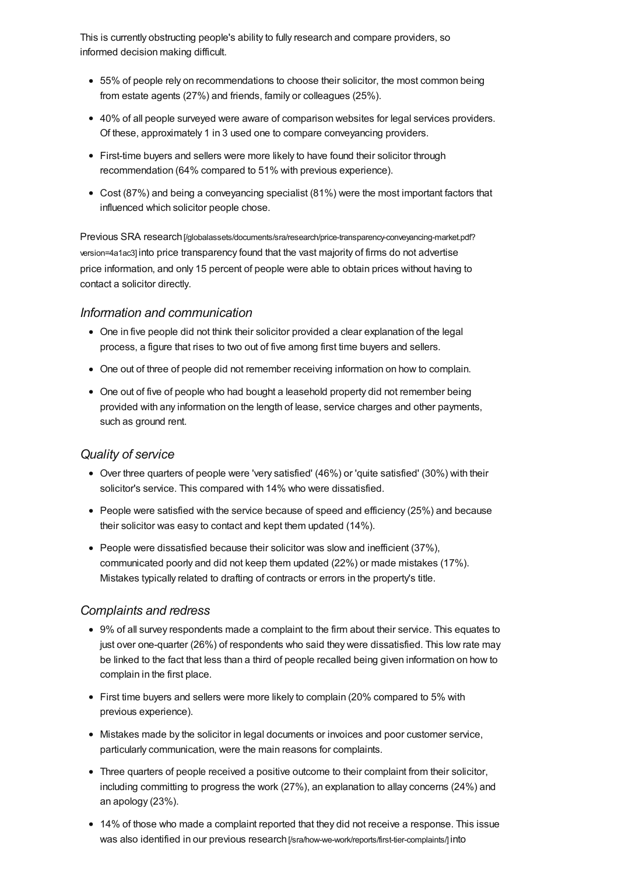<span id="page-1-0"></span>This is currently obstructing people's ability to fully research and compare providers, so informed decision making difficult.

- 55% of people rely on recommendations to choose their solicitor, the most common being from estate agents (27%) and friends, family or colleagues (25%).
- 40% of all people surveyed were aware of comparison websites for legal services providers. Of these, approximately 1 in 3 used one to compare conveyancing providers.
- First-time buyers and sellers were more likely to have found their solicitor through recommendation (64% compared to 51% with previous experience).
- Cost (87%) and being a conveyancing specialist (81%) were the most important factors that influenced which solicitor people chose.

Previous SRA research [\[/globalassets/documents/sra/research/price-transparency-conveyancing-market.pdf?](https://www.sra.org.uk/globalassets/documents/sra/research/price-transparency-conveyancing-market.pdf?version=4a1ac3) version=4a1ac3] into price transparency found that the vast majority of firms do not advertise price information, and only 15 percent of people were able to obtain prices without having to contact a solicitor directly.

#### *Information and communication*

- One in five people did not think their solicitor provided a clear explanation of the legal process, a figure that rises to two out of five among first time buyers and sellers.
- One out of three of people did not remember receiving information on how to complain.
- One out of five of people who had bought a leasehold property did not remember being provided with any information on the length of lease, service charges and other payments, such as ground rent.

#### *Quality of service*

- Over three quarters of people were 'very satisfied' (46%) or 'quite satisfied' (30%) with their solicitor's service. This compared with 14% who were dissatisfied.
- People were satisfied with the service because of speed and efficiency (25%) and because their solicitor was easy to contact and kept them updated (14%).
- $\bullet$  People were dissatisfied because their solicitor was slow and inefficient (37%), communicated poorly and did not keep them updated (22%) or made mistakes (17%). Mistakes typically related to drafting of contracts or errors in the property's title.

#### *Complaints and redress*

- 9% of all survey respondents made a complaint to the firm about their service. This equates to just over one-quarter (26%) of respondents who said they were dissatisfied. This low rate may be linked to the fact that less than a third of people recalled being given information on how to complain in the first place.
- First time buyers and sellers were more likely to complain (20% compared to 5% with previous experience).
- $\bullet$  Mistakes made by the solicitor in legal documents or invoices and poor customer service, particularly communication, were the main reasons for complaints.
- Three quarters of people received a positive outcome to their complaint from their solicitor, including committing to progress the work (27%), an explanation to allay concerns (24%) and an apology (23%).
- 14% of those who made a complaint reported that they did not receive a response. This issue was also identified in our previous research [\[/sra/how-we-work/reports/first-tier-complaints/\]](https://www.sra.org.uk/sra/how-we-work/reports/first-tier-complaints/) into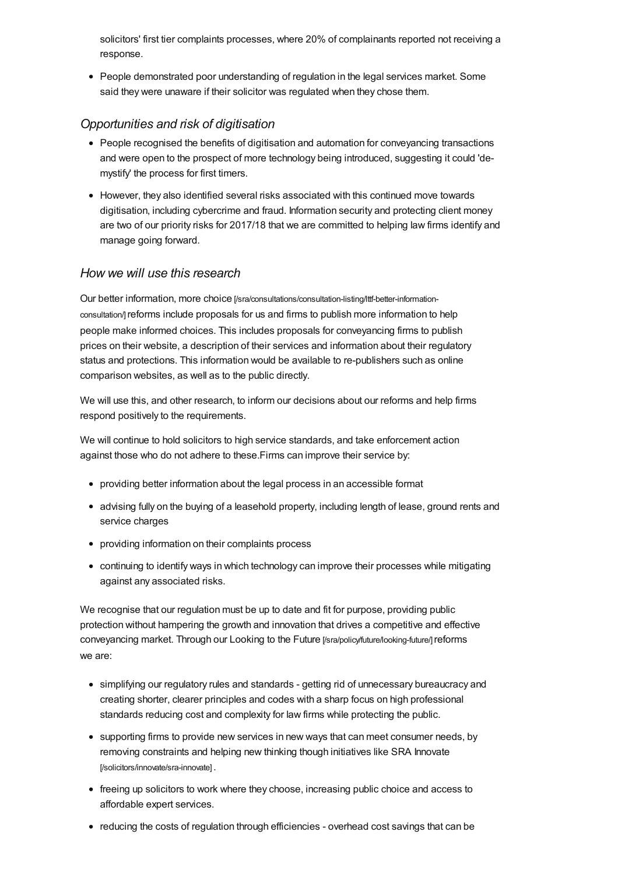solicitors' first tier complaints processes, where 20% of complainants reported not receiving a response.

People demonstrated poor understanding of regulation in the legal services market. Some said they were unaware if their solicitor was regulated when they chose them.

#### *Opportunities and risk of digitisation*

- People recognised the benefits of digitisation and automation for convevancing transactions and were open to the prospect of more technology being introduced, suggesting it could 'demystify' the process for first timers.
- However, they also identified several risks associated with this continued move towards digitisation, including cybercrime and fraud. Information security and protecting client money are two of our priority risks for 2017/18 that we are committed to helping law firms identify and manage going forward.

#### *How we will use this [research](#page-2-0)*

<span id="page-2-0"></span>Our better information, more choice [\[/sra/consultations/consultation-listing/lttf-better-information](https://www.sra.org.uk/sra/consultations/consultation-listing/lttf-better-information-consultation/)consultation/]reforms include proposals for us and firms to publish more information to help people make informed choices. This includes proposals for conveyancing firms to publish prices on their website, a description of their services and information about their regulatory status and protections. This information would be available to re-publishers such as online comparison websites, as well as to the public directly.

We will use this, and other research, to inform our decisions about our reforms and help firms respond positively to the requirements.

We will continue to hold solicitors to high service standards, and take enforcement action against those who do not adhere to these.Firms can improve their service by:

- providing better information about the legal process in an accessible format
- advising fully on the buying of a leasehold property, including length of lease, ground rents and service charges
- providing information on their complaints process
- continuing to identify ways in which technology can improve their processes while mitigating against any associated risks.

We recognise that our regulation must be up to date and fit for purpose, providing public protection without hampering the growth and innovation that drives a competitive and effective conveyancing market. Through our Looking to the Future [\[/sra/policy/future/looking-future/\]](https://www.sra.org.uk/sra/policy/future/looking-future/) reforms we are:

- simplifying our regulatory rules and standards getting rid of unnecessary bureaucracy and creating shorter, clearer principles and codes with a sharp focus on high professional standards reducing cost and complexity for law firms while protecting the public.
- supporting firms to provide new services in new ways that can meet consumer needs, by removing constraints and helping new thinking though initiatives like SRA Innovate [\[/solicitors/innovate/sra-innovate\]](https://www.sra.org.uk/solicitors/innovate/sra-innovate) .
- freeing up solicitors to work where they choose, increasing public choice and access to affordable expert services.
- reducing the costs of regulation through efficiencies overhead cost savings that can be